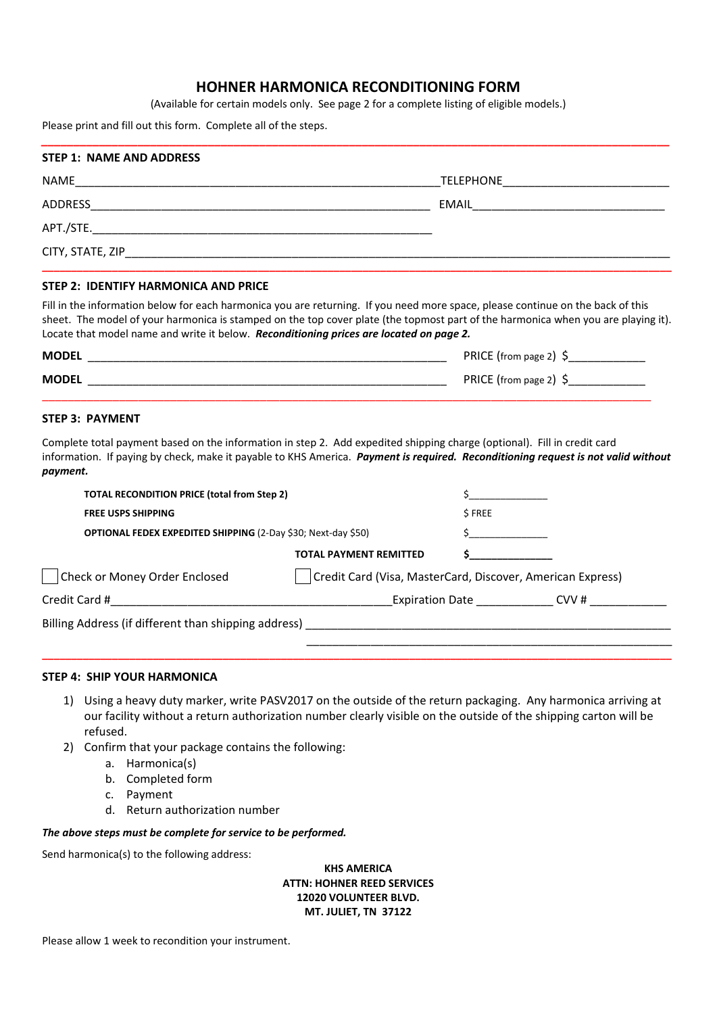# **HOHNER HARMONICA RECONDITIONING FORM**

(Available for certain models only. See page 2 for a complete listing of eligible models.)

*\_\_\_\_\_\_\_\_\_\_\_\_\_\_\_\_\_\_\_\_\_\_\_\_\_\_\_\_\_\_\_\_\_\_\_\_\_\_\_\_\_\_\_\_\_\_\_\_\_\_\_\_\_\_\_\_\_\_\_\_\_\_\_\_\_\_\_\_\_\_\_\_\_\_\_\_\_\_\_\_\_\_\_\_\_\_\_\_\_\_\_\_\_\_\_\_\_\_*

Please print and fill out this form. Complete all of the steps.

| <b>STEP 1: NAME AND ADDRESS</b> |                                                                          |
|---------------------------------|--------------------------------------------------------------------------|
| <b>NAME</b>                     | <b>TELEPHONE</b><br><u> 1980 - Jan Barbara Barbara, manazarta da kas</u> |
| ADDRESS                         | EMAIL <b>EXAMPLE SERVICE SERVICE</b>                                     |
|                                 |                                                                          |
| CITY, STATE, ZIP                |                                                                          |
|                                 |                                                                          |

## **STEP 2: IDENTIFY HARMONICA AND PRICE**

Fill in the information below for each harmonica you are returning. If you need more space, please continue on the back of this sheet. The model of your harmonica is stamped on the top cover plate (the topmost part of the harmonica when you are playing it). Locate that model name and write it below. *Reconditioning prices are located on page 2.*

| <b>MODEL</b> | PRICE (from page 2)   |
|--------------|-----------------------|
| <b>MODEL</b> | PRICE (from page 2) 9 |

### **STEP 3: PAYMENT**

Complete total payment based on the information in step 2. Add expedited shipping charge (optional). Fill in credit card information. If paying by check, make it payable to KHS America. *Payment is required. Reconditioning request is not valid without payment.*

| <b>FREE USPS SHIPPING</b>                                                                             |                                                            | \$FREE |                       |
|-------------------------------------------------------------------------------------------------------|------------------------------------------------------------|--------|-----------------------|
|                                                                                                       |                                                            |        |                       |
| <b>OPTIONAL FEDEX EXPEDITED SHIPPING (2-Day \$30; Next-day \$50)</b>                                  |                                                            |        |                       |
|                                                                                                       | <b>TOTAL PAYMENT REMITTED</b>                              |        |                       |
| Check or Money Order Enclosed                                                                         | Credit Card (Visa, MasterCard, Discover, American Express) |        |                       |
| Credit Card # 2008 2009 2012 2023 2024 2022 2023 2024 2022 2023 2024 2022 2023 2024 2022 2023 2024 20 |                                                            |        | Expiration Date CVV # |

**\_\_\_\_\_\_\_\_\_\_\_\_\_\_\_\_\_\_\_\_\_\_\_\_\_\_\_\_\_\_\_\_\_\_\_\_\_\_\_\_\_\_\_\_\_\_\_\_\_\_\_\_\_\_\_\_\_\_\_\_\_\_\_\_\_\_\_\_\_\_\_\_\_\_\_\_\_\_\_\_\_\_\_\_\_\_\_\_\_\_\_\_\_\_\_\_\_\_\_\_\_\_\_\_\_\_\_\_** 

#### **STEP 4: SHIP YOUR HARMONICA**

- 1) Using a heavy duty marker, write PASV2017 on the outside of the return packaging. Any harmonica arriving at our facility without a return authorization number clearly visible on the outside of the shipping carton will be refused.
- 2) Confirm that your package contains the following:
	- a. Harmonica(s)
	- b. Completed form
	- c. Payment
	- d. Return authorization number

#### *The above steps must be complete for service to be performed.*

Send harmonica(s) to the following address:

**KHS AMERICA ATTN: HOHNER REED SERVICES 12020 VOLUNTEER BLVD. MT. JULIET, TN 37122** 

Please allow 1 week to recondition your instrument.